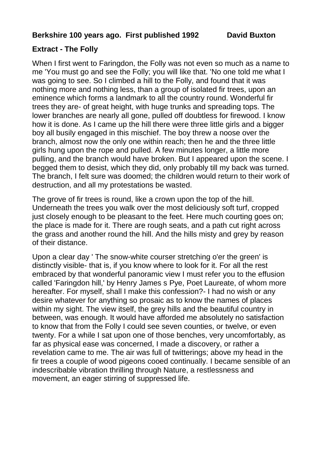## **Berkshire 100 years ago. First published 1992 David Buxton**

## **Extract - The Folly**

When I first went to Faringdon, the Folly was not even so much as a name to me 'You must go and see the Folly; you will like that. 'No one told me what I was going to see. So I climbed a hill to the Folly, and found that it was nothing more and nothing less, than a group of isolated fir trees, upon an eminence which forms a landmark to all the country round. Wonderful fir trees they are- of great height, with huge trunks and spreading tops. The lower branches are nearly all gone, pulled off doubtless for firewood. I know how it is done. As I came up the hill there were three little girls and a bigger boy all busily engaged in this mischief. The boy threw a noose over the branch, almost now the only one within reach; then he and the three little girls hung upon the rope and pulled. A few minutes longer, a little more pulling, and the branch would have broken. But I appeared upon the scene. I begged them to desist, which they did, only probably till my back was turned. The branch, I felt sure was doomed; the children would return to their work of destruction, and all my protestations be wasted.

The grove of fir trees is round, like a crown upon the top of the hill. Underneath the trees you walk over the most deliciously soft turf, cropped just closely enough to be pleasant to the feet. Here much courting goes on; the place is made for it. There are rough seats, and a path cut right across the grass and another round the hill. And the hills misty and grey by reason of their distance.

Upon a clear day ' The snow-white courser stretching o'er the green' is distinctly visible- that is, if you know where to look for it. For all the rest embraced by that wonderful panoramic view I must refer you to the effusion called 'Faringdon hill,' by Henry James s Pye, Poet Laureate, of whom more hereafter. For myself, shall I make this confession?- I had no wish or any desire whatever for anything so prosaic as to know the names of places within my sight. The view itself, the grey hills and the beautiful country in between, was enough. It would have afforded me absolutely no satisfaction to know that from the Folly I could see seven counties, or twelve, or even twenty. For a while I sat upon one of those benches, very uncomfortably, as far as physical ease was concerned, I made a discovery, or rather a revelation came to me. The air was full of twitterings; above my head in the fir trees a couple of wood pigeons cooed continually. I became sensible of an indescribable vibration thrilling through Nature, a restlessness and movement, an eager stirring of suppressed life.